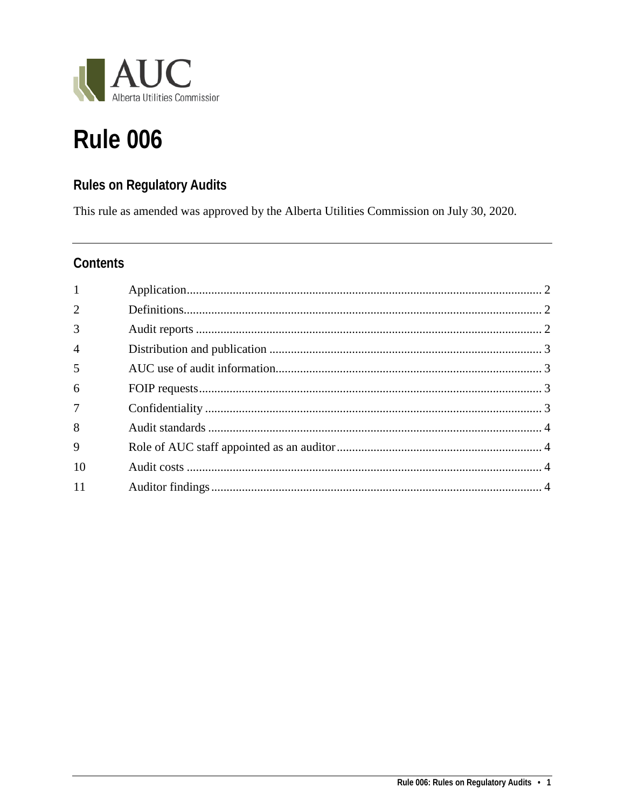

# **Rule 006**

## **Rules on Regulatory Audits**

This rule as amended was approved by the Alberta Utilities Commission on July 30, 2020.

### Contents

| $\mathbf{1}$   |  |
|----------------|--|
| $\overline{2}$ |  |
| 3              |  |
| $\overline{4}$ |  |
| 5              |  |
| 6              |  |
| $\overline{7}$ |  |
| 8              |  |
| 9              |  |
| 10             |  |
| 11             |  |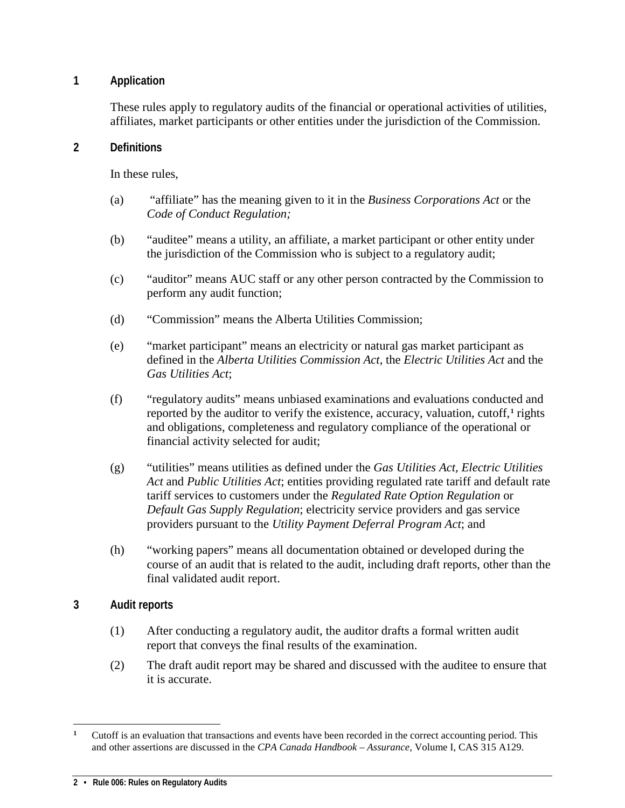#### <span id="page-1-0"></span>**1 Application**

These rules apply to regulatory audits of the financial or operational activities of utilities, affiliates, market participants or other entities under the jurisdiction of the Commission.

#### <span id="page-1-1"></span>**2 Definitions**

In these rules,

- (a) "affiliate" has the meaning given to it in the *Business Corporations Act* or the *Code of Conduct Regulation;*
- (b) "auditee" means a utility, an affiliate, a market participant or other entity under the jurisdiction of the Commission who is subject to a regulatory audit;
- (c) "auditor" means AUC staff or any other person contracted by the Commission to perform any audit function;
- (d) "Commission" means the Alberta Utilities Commission;
- (e) "market participant" means an electricity or natural gas market participant as defined in the *Alberta Utilities Commission Act,* the *Electric Utilities Act* and the *Gas Utilities Act*;
- (f) "regulatory audits" means unbiased examinations and evaluations conducted and reported by the auditor to verify the existence, accuracy, valuation, cutoff,**[1](#page-1-3)** rights and obligations, completeness and regulatory compliance of the operational or financial activity selected for audit;
- (g) "utilities" means utilities as defined under the *Gas Utilities Act, Electric Utilities Act* and *Public Utilities Act*; entities providing regulated rate tariff and default rate tariff services to customers under the *Regulated Rate Option Regulation* or *Default Gas Supply Regulation*; electricity service providers and gas service providers pursuant to the *Utility Payment Deferral Program Act*; and
- (h) "working papers" means all documentation obtained or developed during the course of an audit that is related to the audit, including draft reports, other than the final validated audit report.

#### <span id="page-1-2"></span>**3 Audit reports**

- (1) After conducting a regulatory audit, the auditor drafts a formal written audit report that conveys the final results of the examination.
- (2) The draft audit report may be shared and discussed with the auditee to ensure that it is accurate.

<span id="page-1-3"></span> $\overline{a}$ <sup>1</sup> Cutoff is an evaluation that transactions and events have been recorded in the correct accounting period. This and other assertions are discussed in the *CPA Canada Handbook – Assurance,* Volume I, CAS 315 A129.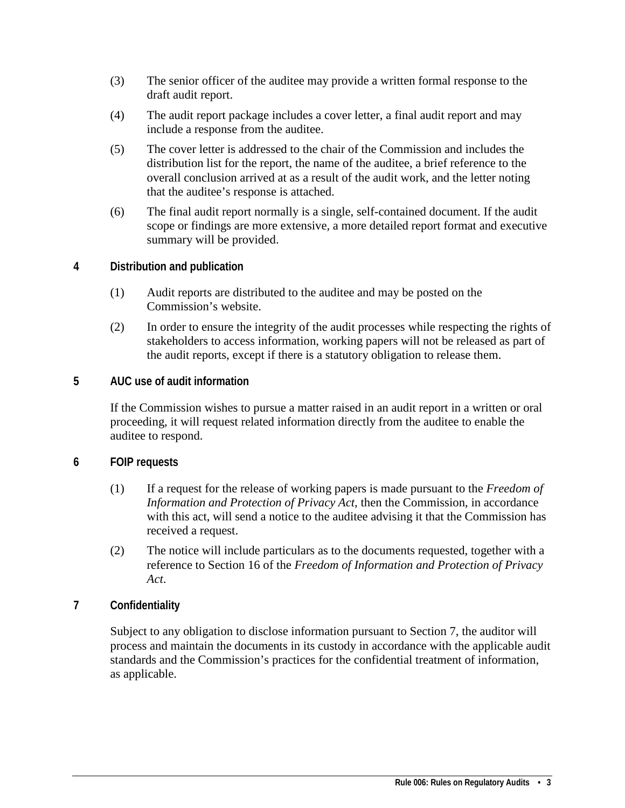- (3) The senior officer of the auditee may provide a written formal response to the draft audit report.
- (4) The audit report package includes a cover letter, a final audit report and may include a response from the auditee.
- (5) The cover letter is addressed to the chair of the Commission and includes the distribution list for the report, the name of the auditee, a brief reference to the overall conclusion arrived at as a result of the audit work, and the letter noting that the auditee's response is attached.
- (6) The final audit report normally is a single, self-contained document. If the audit scope or findings are more extensive, a more detailed report format and executive summary will be provided.
- <span id="page-2-0"></span>**4 Distribution and publication**
	- (1) Audit reports are distributed to the auditee and may be posted on the Commission's website.
	- (2) In order to ensure the integrity of the audit processes while respecting the rights of stakeholders to access information, working papers will not be released as part of the audit reports, except if there is a statutory obligation to release them.
- <span id="page-2-1"></span>**5 AUC use of audit information**

If the Commission wishes to pursue a matter raised in an audit report in a written or oral proceeding, it will request related information directly from the auditee to enable the auditee to respond.

#### <span id="page-2-2"></span>**6 FOIP requests**

- (1) If a request for the release of working papers is made pursuant to the *Freedom of Information and Protection of Privacy Act*, then the Commission, in accordance with this act, will send a notice to the auditee advising it that the Commission has received a request.
- (2) The notice will include particulars as to the documents requested, together with a reference to Section 16 of the *Freedom of Information and Protection of Privacy Act*.

#### <span id="page-2-3"></span>**7 Confidentiality**

Subject to any obligation to disclose information pursuant to Section 7, the auditor will process and maintain the documents in its custody in accordance with the applicable audit standards and the Commission's practices for the confidential treatment of information, as applicable.